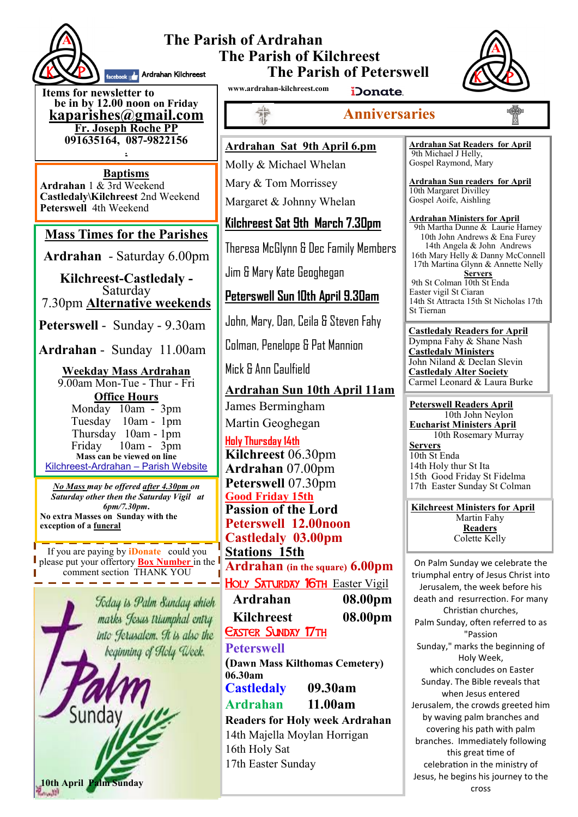

#### **The Parish of Ardrahan The Parish of Kilchreest The Parish of Peterswell** facebook **A**rdrahan Kilchreest



**Items for newsletter to be in by 12.00 noon on Friday [kaparishes@gmail.com](mailto:kaparish@gmail.com) Fr. Joseph Roche PP 091635164, 087-9822156 .**

**Baptisms Ardrahan** 1 & 3rd Weekend **Castledaly\Kilchreest** 2nd Weekend **Peterswell** 4th Weekend

### **Mass Times for the Parishes**

**Ardrahan** - Saturday 6.00pm

**Kilchreest-Castledaly -**  Saturday 7.30pm **Alternative weekends**

**Peterswell** - Sunday - 9.30am

**Ardrahan** - Sunday 11.00am

#### **Weekday Mass Ardrahan**  9.00am Mon-Tue - Thur - Fri **Office Hours**

Monday 10am - 3pm Tuesday 10am - 1pm Thursday 10am - 1pm Friday 10am - 3pm **Mass can be viewed on line**  Kilchreest-Ardrahan – Parish Website

*No Mass may be offered after 4.30pm on Saturday other then the Saturday Vigil at 6pm/7.30pm***. No extra Masses on Sunday with the exception of a funeral**

If you are paying by **iDonate** could you please put your offertory **Box Number** in the comment section THANK YOU

> Today is Palm Sunday which marks Jesus triamphal entry into Jerusalem. It is also the beginning of Holy Week.



**www.ardrahan-kilchreest.com**

非常

iDonate.

### **Anniversaries**

**Ardrahan Sat 9th April 6.pm**

Molly & Michael Whelan Mary & Tom Morrissey

Margaret & Johnny Whelan

**Kilchreest Sat 9th March 7.30pm**

Theresa McGlynn & Dec Family Members

Jim & Mary Kate Geoghegan

### **Peterswell Sun 10th April 9.30am**

John, Mary, Dan, Ceila & Steven Fahy

Colman, Penelope & Pat Mannion

Mick & Ann Caulfield

**Ardrahan Sun 10th April 11am** James Bermingham Martin Geoghegan

**Holy Thursday 14th Kilchreest** 06.30pm **Ardrahan** 07.00pm **Peterswell** 07.30pm **Good Friday 15th Passion of the Lord Peterswell 12.00noon Castledaly 03.00pm Stations 15th Ardrahan (in the square) 6.00pm** HOLY SATURDAY 16TH Easter Vigil **Ardrahan 08.00pm Kilchreest 08.00pm**

**EASTER SUNDAY 17TH** 

### **Peterswell**

**(Dawn Mass Kilthomas Cemetery) 06.30am Castledaly 09.30am** 

### **Ardrahan 11.00am**

**Readers for Holy week Ardrahan** 14th Majella Moylan Horrigan 16th Holy Sat 17th Easter Sunday

**Ardrahan Sat Readers for April**  9th Michael J Helly, Gospel Raymond, Mary

**Ardrahan Sun readers for April** 10th Margaret Divilley Gospel Aoife, Aishling

#### **Ardrahan Ministers for April**

9th Martha Dunne & Laurie Harney 10th John Andrews & Ena Furey 14th Angela & John Andrews 16th Mary Helly & Danny McConnell 17th Martina Glynn & Annette Nelly **Servers** 9th St Colman 10th St Enda Easter vigil St Ciaran 14th St Attracta 15th St Nicholas 17th St Tiernan

**Castledaly Readers for April**  Dympna Fahy & Shane Nash **Castledaly Ministers** John Niland & Declan Slevin **Castledaly Alter Society** Carmel Leonard & Laura Burke

**Peterswell Readers April** 10th John Neylon **Eucharist Ministers April** 10th Rosemary Murray **Servers** 10th St Enda 14th Holy thur St Ita 15th Good Friday St Fidelma 17th Easter Sunday St Colman

**Kilchreest Ministers for April** Martin Fahy **Readers** Colette Kelly

On Palm Sunday we celebrate the [triumphal entry of Jesus Christ](http://christianity.about.com/od/biblestorysummaries/a/Palm-Sunday-Story.htm) into Jerusalem, the week before his [death](http://christianity.about.com/od/biblestudyresources/a/jesusfinalhours.htm) and [resurrection.](http://christianity.about.com/od/biblestorysummaries/p/theresurrection.htm) For many Christian churches, Palm Sunday, often referred to as "Passion Sunday," marks the beginning of [Holy Week,](http://christianity.about.com/od/easter/ss/Holy-Week-Timeline.htm) which concludes on Easter Sunday. The Bible reveals that when Jesus entered Jerusalem, the crowds greeted him by waving [palm branches](http://christianity.about.com/od/palmsunday/a/Palm-Branches.htm) and covering his path with palm branches. Immediately following this great time of celebration in the ministry of Jesus, he begins his [journey to the](http://christianity.about.com/od/biblestorysummaries/p/crucifixionstor.htm)  [cross](http://christianity.about.com/od/biblestorysummaries/p/crucifixionstor.htm)